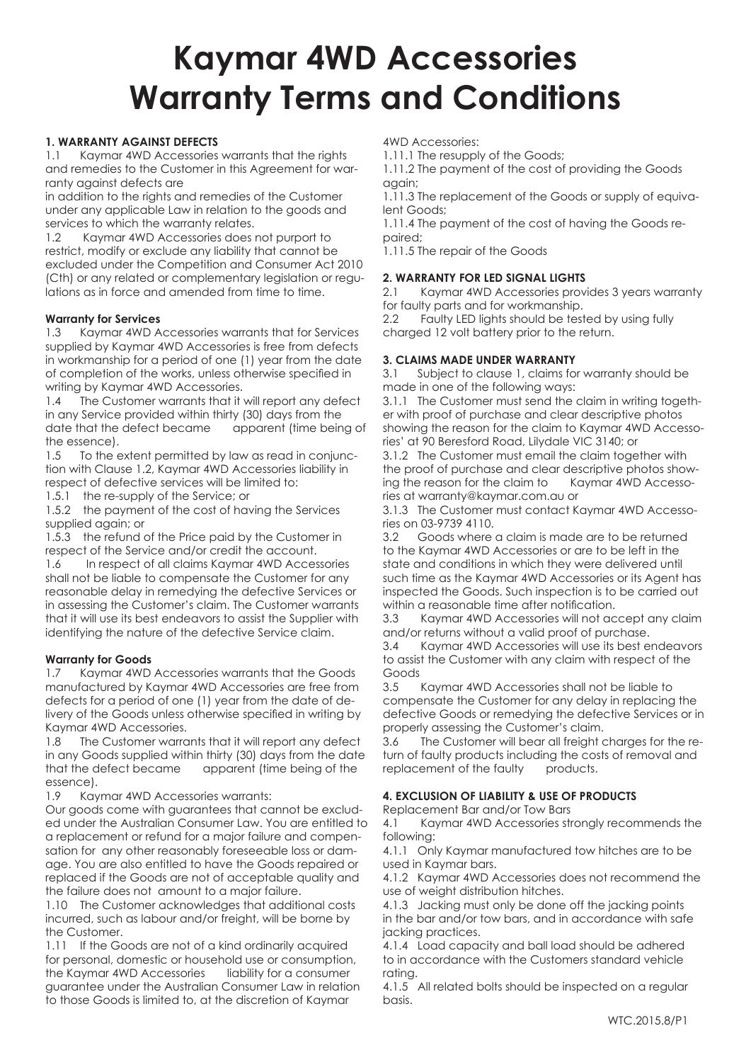# **Kaymar 4WD Accessories Warranty Terms and Conditions**

# **1. WARRANTY AGAINST DEFECTS**

1.1 Kaymar 4WD Accessories warrants that the rights and remedies to the Customer in this Agreement for warranty against defects are

in addition to the rights and remedies of the Customer under any applicable Law in relation to the goods and services to which the warranty relates.

1.2 Kaymar 4WD Accessories does not purport to restrict, modify or exclude any liability that cannot be excluded under the Competition and Consumer Act 2010 (Cth) or any related or complementary legislation or regulations as in force and amended from time to time.

# **Warranty for Services**

1.3 Kaymar 4WD Accessories warrants that for Services supplied by Kaymar 4WD Accessories is free from defects in workmanship for a period of one (1) year from the date of completion of the works, unless otherwise specified in writing by Kaymar 4WD Accessories.

1.4 The Customer warrants that it will report any defect in any Service provided within thirty (30) days from the date that the defect became apparent (time being of the essence).

1.5 To the extent permitted by law as read in conjunction with Clause 1.2, Kaymar 4WD Accessories liability in respect of defective services will be limited to:

1.5.1 the re-supply of the Service; or

1.5.2 the payment of the cost of having the Services supplied again; or

1.5.3 the refund of the Price paid by the Customer in respect of the Service and/or credit the account.

1.6 In respect of all claims Kaymar 4WD Accessories shall not be liable to compensate the Customer for any reasonable delay in remedying the defective Services or in assessing the Customer's claim. The Customer warrants that it will use its best endeavors to assist the Supplier with identifying the nature of the defective Service claim.

# **Warranty for Goods**

1.7 Kaymar 4WD Accessories warrants that the Goods manufactured by Kaymar 4WD Accessories are free from defects for a period of one (1) year from the date of delivery of the Goods unless otherwise specified in writing by Kaymar 4WD Accessories.

1.8 The Customer warrants that it will report any defect in any Goods supplied within thirty (30) days from the date that the defect became apparent (time being of the essence).

1.9 Kaymar 4WD Accessories warrants:

Our goods come with guarantees that cannot be excluded under the Australian Consumer Law. You are entitled to a replacement or refund for a major failure and compensation for any other reasonably foreseeable loss or damage. You are also entitled to have the Goods repaired or replaced if the Goods are not of acceptable quality and the failure does not amount to a major failure.

1.10 The Customer acknowledges that additional costs incurred, such as labour and/or freight, will be borne by the Customer.

1.11 If the Goods are not of a kind ordinarily acquired for personal, domestic or household use or consumption, the Kaymar 4WD Accessories liability for a consumer guarantee under the Australian Consumer Law in relation to those Goods is limited to, at the discretion of Kaymar

4WD Accessories:

1.11.1 The resupply of the Goods;

1.11.2 The payment of the cost of providing the Goods again;

1.11.3 The replacement of the Goods or supply of equivalent Goods;

1.11.4 The payment of the cost of having the Goods repaired;

1.11.5 The repair of the Goods

# **2. WARRANTY FOR LED SIGNAL LIGHTS**

2.1 Kaymar 4WD Accessories provides 3 years warranty for faulty parts and for workmanship.

2.2 Faulty LED lights should be tested by using fully charged 12 volt battery prior to the return.

# **3. CLAIMS MADE UNDER WARRANTY**

3.1 Subject to clause 1, claims for warranty should be made in one of the following ways:

3.1.1 The Customer must send the claim in writing together with proof of purchase and clear descriptive photos showing the reason for the claim to Kaymar 4WD Accessories' at 90 Beresford Road, Lilydale VIC 3140; or

3.1.2 The Customer must email the claim together with the proof of purchase and clear descriptive photos show-<br>ing the reason for the claim to Kaymar 4WD Accessoing the reason for the claim to ries at warranty@kaymar.com.au or

3.1.3 The Customer must contact Kaymar 4WD Accessories on 03-9739 4110.

3.2 Goods where a claim is made are to be returned to the Kaymar 4WD Accessories or are to be left in the state and conditions in which they were delivered until such time as the Kaymar 4WD Accessories or its Agent has inspected the Goods. Such inspection is to be carried out within a reasonable time after notification.

3.3 Kaymar 4WD Accessories will not accept any claim and/or returns without a valid proof of purchase.

3.4 Kaymar 4WD Accessories will use its best endeavors to assist the Customer with any claim with respect of the Goods

3.5 Kaymar 4WD Accessories shall not be liable to compensate the Customer for any delay in replacing the defective Goods or remedying the defective Services or in properly assessing the Customer's claim.

3.6 The Customer will bear all freight charges for the return of faulty products including the costs of removal and replacement of the faulty products.

# **4. EXCLUSION OF LIABILITY & USE OF PRODUCTS**

Replacement Bar and/or Tow Bars

4.1 Kaymar 4WD Accessories strongly recommends the following:

4.1.1 Only Kaymar manufactured tow hitches are to be used in Kaymar bars.

4.1.2 Kaymar 4WD Accessories does not recommend the use of weight distribution hitches.

4.1.3 Jacking must only be done off the jacking points in the bar and/or tow bars, and in accordance with safe jacking practices.

4.1.4 Load capacity and ball load should be adhered to in accordance with the Customers standard vehicle rating.

4.1.5 All related bolts should be inspected on a regular basis.